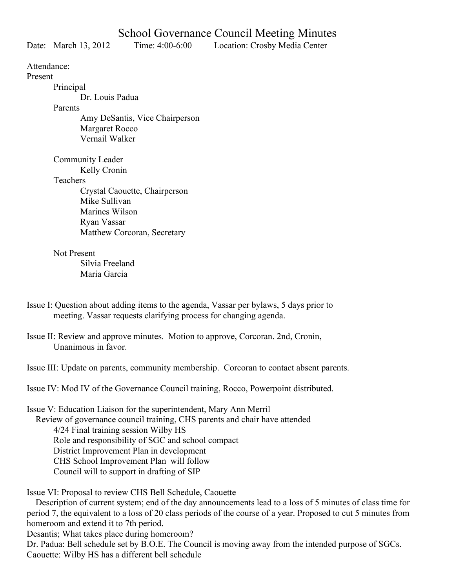Date: March 13, 2012 Time: 4:00-6:00 Location: Crosby Media Center

Attendance:

Present

Principal

Dr. Louis Padua

Parents

Amy DeSantis, Vice Chairperson Margaret Rocco Vernail Walker

Community Leader

Kelly Cronin

**Teachers** 

Crystal Caouette, Chairperson Mike Sullivan Marines Wilson Ryan Vassar Matthew Corcoran, Secretary

Not Present

 Silvia Freeland Maria Garcia

- Issue I: Question about adding items to the agenda, Vassar per bylaws, 5 days prior to meeting. Vassar requests clarifying process for changing agenda.
- Issue II: Review and approve minutes. Motion to approve, Corcoran. 2nd, Cronin, Unanimous in favor.

Issue III: Update on parents, community membership. Corcoran to contact absent parents.

Issue IV: Mod IV of the Governance Council training, Rocco, Powerpoint distributed.

Issue V: Education Liaison for the superintendent, Mary Ann Merril Review of governance council training, CHS parents and chair have attended 4/24 Final training session Wilby HS Role and responsibility of SGC and school compact District Improvement Plan in development CHS School Improvement Plan will follow Council will to support in drafting of SIP

Issue VI: Proposal to review CHS Bell Schedule, Caouette

 Description of current system; end of the day announcements lead to a loss of 5 minutes of class time for period 7, the equivalent to a loss of 20 class periods of the course of a year. Proposed to cut 5 minutes from homeroom and extend it to 7th period.

Desantis; What takes place during homeroom?

Dr. Padua: Bell schedule set by B.O.E. The Council is moving away from the intended purpose of SGCs. Caouette: Wilby HS has a different bell schedule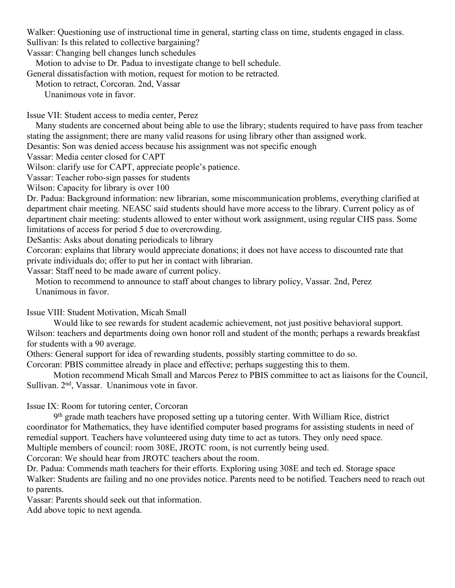Walker: Questioning use of instructional time in general, starting class on time, students engaged in class. Sullivan: Is this related to collective bargaining?

Vassar: Changing bell changes lunch schedules

Motion to advise to Dr. Padua to investigate change to bell schedule.

General dissatisfaction with motion, request for motion to be retracted.

Motion to retract, Corcoran. 2nd, Vassar

Unanimous vote in favor.

Issue VII: Student access to media center, Perez

 Many students are concerned about being able to use the library; students required to have pass from teacher stating the assignment; there are many valid reasons for using library other than assigned work.

Desantis: Son was denied access because his assignment was not specific enough

Vassar: Media center closed for CAPT

Wilson: clarify use for CAPT, appreciate people's patience.

Vassar: Teacher robo-sign passes for students

Wilson: Capacity for library is over 100

Dr. Padua: Background information: new librarian, some miscommunication problems, everything clarified at department chair meeting. NEASC said students should have more access to the library. Current policy as of department chair meeting: students allowed to enter without work assignment, using regular CHS pass. Some limitations of access for period 5 due to overcrowding.

DeSantis: Asks about donating periodicals to library

Corcoran: explains that library would appreciate donations; it does not have access to discounted rate that private individuals do; offer to put her in contact with librarian.

Vassar: Staff need to be made aware of current policy.

 Motion to recommend to announce to staff about changes to library policy, Vassar. 2nd, Perez Unanimous in favor.

Issue VIII: Student Motivation, Micah Small

 Would like to see rewards for student academic achievement, not just positive behavioral support. Wilson: teachers and departments doing own honor roll and student of the month; perhaps a rewards breakfast for students with a 90 average.

Others: General support for idea of rewarding students, possibly starting committee to do so.

Corcoran: PBIS committee already in place and effective; perhaps suggesting this to them.

Motion recommend Micah Small and Marcos Perez to PBIS committee to act as liaisons for the Council, Sullivan. 2nd, Vassar. Unanimous vote in favor.

Issue IX: Room for tutoring center, Corcoran

 9th grade math teachers have proposed setting up a tutoring center. With William Rice, district coordinator for Mathematics, they have identified computer based programs for assisting students in need of remedial support. Teachers have volunteered using duty time to act as tutors. They only need space. Multiple members of council: room 308E, JROTC room, is not currently being used.

Corcoran: We should hear from JROTC teachers about the room.

Dr. Padua: Commends math teachers for their efforts. Exploring using 308E and tech ed. Storage space Walker: Students are failing and no one provides notice. Parents need to be notified. Teachers need to reach out to parents.

Vassar: Parents should seek out that information.

Add above topic to next agenda.